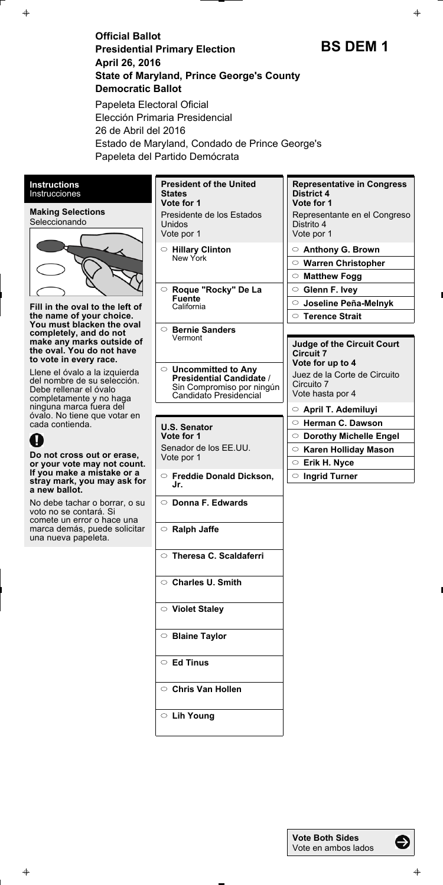**Official Ballot Presidential Primary Election April 26, 2016 State of Maryland, Prince George's County Democratic Ballot**

**BS DEM 1**



€

Papeleta Electoral Oficial Elección Primaria Presidencial 26 de Abril del 2016 Estado de Maryland, Condado de Prince George's Papeleta del Partido Demócrata

| <b>Instructions</b><br><b>Instrucciones</b>                                                                                                                     | <b>President of the United</b><br><b>States</b><br>Vote for 1 | <b>Representative in Congress</b><br><b>District 4</b><br>Vote for 1 |
|-----------------------------------------------------------------------------------------------------------------------------------------------------------------|---------------------------------------------------------------|----------------------------------------------------------------------|
| <b>Making Selections</b><br>Seleccionando<br>Fill in the oval to the left of<br>the name of your choice.<br>You must blacken the oval<br>completely, and do not | Presidente de los Estados<br>Unidos<br>Vote por 1             | Representante en el Congreso<br>Distrito 4<br>Vote por 1             |
|                                                                                                                                                                 | $\circ$ Hillary Clinton<br>New York                           | <b>Anthony G. Brown</b><br>$\circ$                                   |
|                                                                                                                                                                 |                                                               | $\circ$ Warren Christopher                                           |
|                                                                                                                                                                 |                                                               | <b>Matthew Fogg</b><br>$\circ$                                       |
|                                                                                                                                                                 | ○ Roque "Rocky" De La<br><b>Fuente</b><br>California          | <b>Glenn F. Ivey</b><br>$\circ$                                      |
|                                                                                                                                                                 |                                                               | Joseline Peña-Melnyk<br>$\circ$                                      |
|                                                                                                                                                                 |                                                               | $\circ$ Terence Strait                                               |
|                                                                                                                                                                 | $\circ$ Bernie Sanders<br>Vermont                             |                                                                      |
| make any marks outside of<br>the oval. You do not have                                                                                                          |                                                               | <b>Judge of the Circuit Court</b><br><b>Circuit 7</b>                |
| to vote in every race.                                                                                                                                          |                                                               | Vote for up to 4                                                     |
| Llene el óvalo a la izquierda<br>del nombre de su selección.<br>Debe rellenar el óvalo<br>completamente y no haga                                               | $\circ$ Uncommitted to Any<br><b>Presidential Candidate /</b> | Juez de la Corte de Circuito                                         |
|                                                                                                                                                                 | Sin Compromiso por ningún<br>Candidato Presidencial           | Circuito 7<br>Vote hasta por 4                                       |
|                                                                                                                                                                 |                                                               |                                                                      |
|                                                                                                                                                                 |                                                               |                                                                      |
| ninguna marca fuera del<br>óvalo. No tiene que votar en                                                                                                         |                                                               | $\circ$ April T. Ademiluyi                                           |
| cada contienda.                                                                                                                                                 | <b>U.S. Senator</b>                                           | ○ Herman C. Dawson                                                   |
|                                                                                                                                                                 | Vote for 1                                                    | <b>Dorothy Michelle Engel</b><br>$\circ$                             |
| Do not cross out or erase,                                                                                                                                      | Senador de los EE.UU.<br>Vote por 1                           | <b>Karen Holliday Mason</b><br>$\circ$                               |
| or your vote may not count.<br>If you make a mistake or a                                                                                                       |                                                               | C Erik H. Nyce<br>$\circ$                                            |
| stray mark, you may ask for                                                                                                                                     | $\circ$ Freddie Donald Dickson,<br>Jr.                        | <b>Ingrid Turner</b>                                                 |
| a new ballot.<br>No debe tachar o borrar, o su<br>voto no se contará. Si                                                                                        | $\circ$ Donna F. Edwards                                      |                                                                      |
| comete un error o hace una<br>marca demás, puede solicitar<br>una nueva papeleta.                                                                               | $\circ$ Ralph Jaffe                                           |                                                                      |
|                                                                                                                                                                 | $\circ$ Theresa C. Scaldaferri                                |                                                                      |
|                                                                                                                                                                 | ○ Charles U. Smith                                            |                                                                      |

**Blaine Taylor**

 $\color{red} \bigoplus$ 

**Ed Tinus**

**Chris Van Hollen**

**Lih Young**